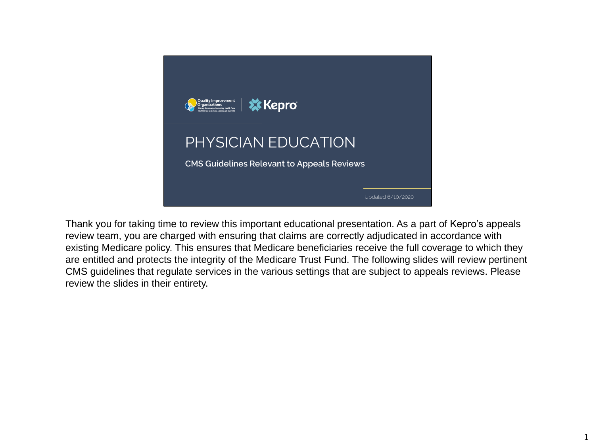

Thank you for taking time to review this important educational presentation. As a part of Kepro's appeals review team, you are charged with ensuring that claims are correctly adjudicated in accordance with existing Medicare policy. This ensures that Medicare beneficiaries receive the full coverage to which they are entitled and protects the integrity of the Medicare Trust Fund. The following slides will review pertinent CMS guidelines that regulate services in the various settings that are subject to appeals reviews. Please review the slides in their entirety.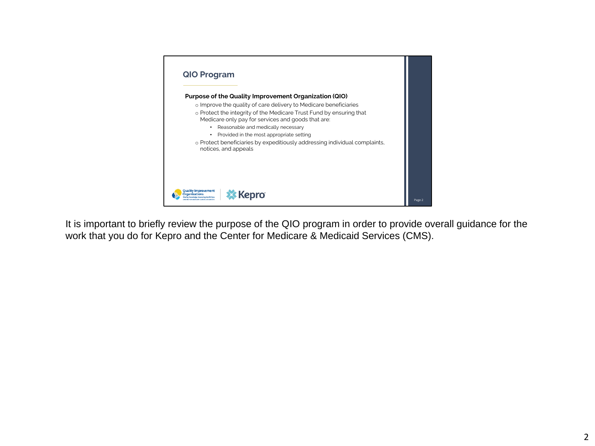

It is important to briefly review the purpose of the QIO program in order to provide overall guidance for the work that you do for Kepro and the Center for Medicare & Medicaid Services (CMS).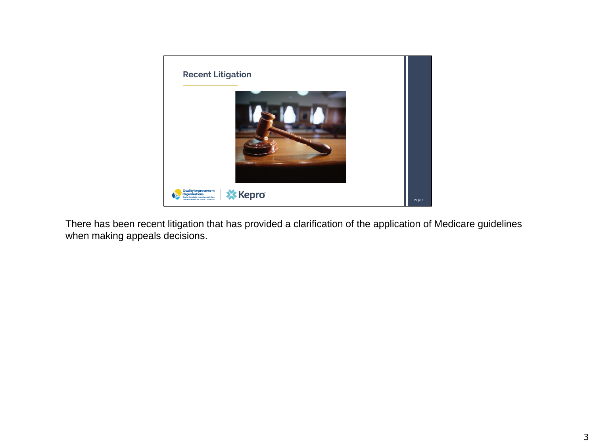

There has been recent litigation that has provided a clarification of the application of Medicare guidelines when making appeals decisions.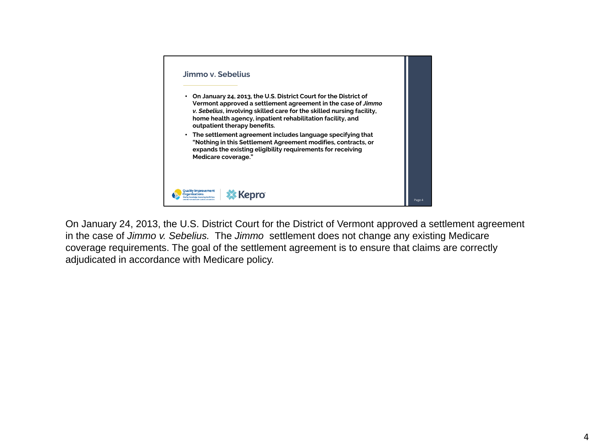

On January 24, 2013, the U.S. District Court for the District of Vermont approved a settlement agreement in the case of *Jimmo v. Sebelius.* The *Jimmo* settlement does not change any existing Medicare coverage requirements. The goal of the settlement agreement is to ensure that claims are correctly adjudicated in accordance with Medicare policy.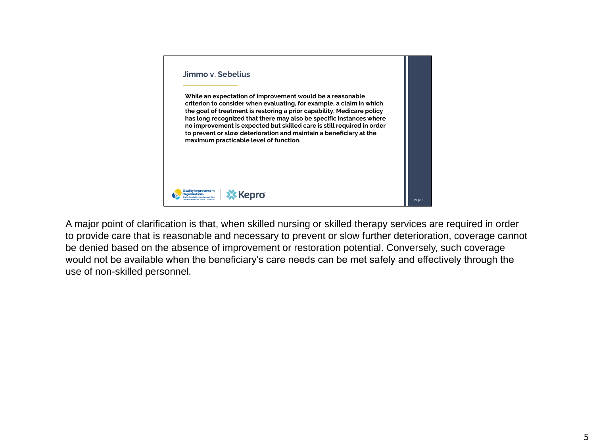

A major point of clarification is that, when skilled nursing or skilled therapy services are required in order to provide care that is reasonable and necessary to prevent or slow further deterioration, coverage cannot be denied based on the absence of improvement or restoration potential. Conversely, such coverage would not be available when the beneficiary's care needs can be met safely and effectively through the use of non-skilled personnel.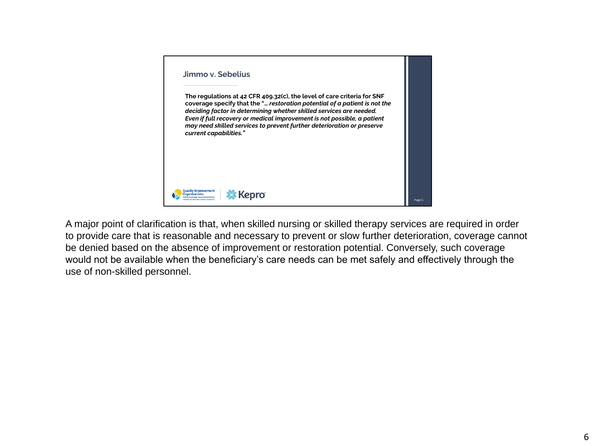

A major point of clarification is that, when skilled nursing or skilled therapy services are required in order to provide care that is reasonable and necessary to prevent or slow further deterioration, coverage cannot be denied based on the absence of improvement or restoration potential. Conversely, such coverage would not be available when the beneficiary's care needs can be met safely and effectively through the use of non-skilled personnel.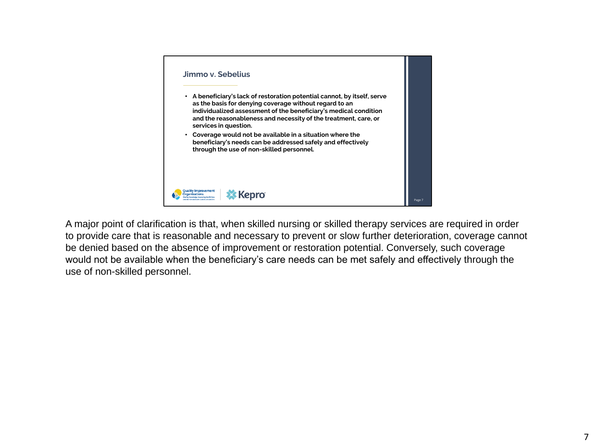

A major point of clarification is that, when skilled nursing or skilled therapy services are required in order to provide care that is reasonable and necessary to prevent or slow further deterioration, coverage cannot be denied based on the absence of improvement or restoration potential. Conversely, such coverage would not be available when the beneficiary's care needs can be met safely and effectively through the use of non-skilled personnel.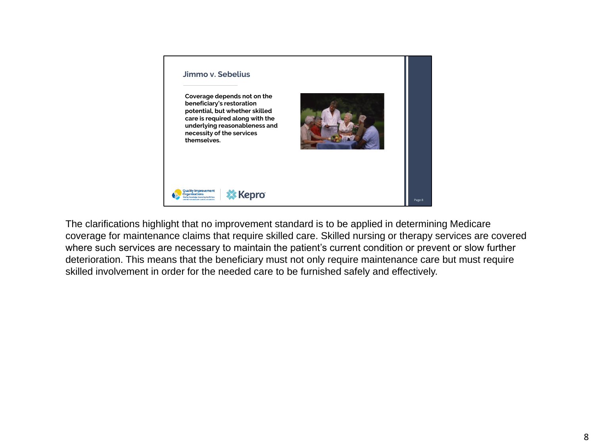

The clarifications highlight that no improvement standard is to be applied in determining Medicare coverage for maintenance claims that require skilled care. Skilled nursing or therapy services are covered where such services are necessary to maintain the patient's current condition or prevent or slow further deterioration. This means that the beneficiary must not only require maintenance care but must require skilled involvement in order for the needed care to be furnished safely and effectively.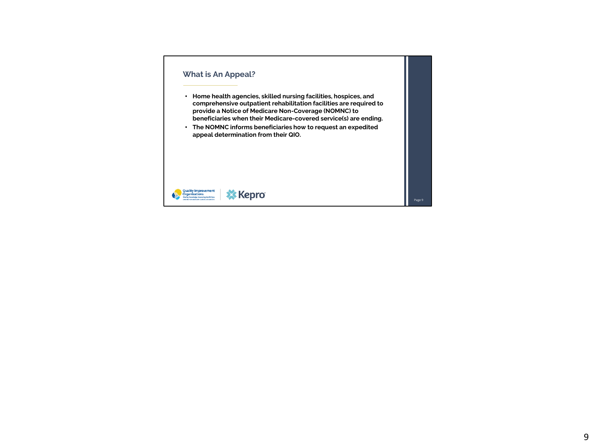#### **What is An Appeal?**

- **Home health agencies, skilled nursing facilities, hospices, and comprehensive outpatient rehabilitation facilities are required to provide a Notice of Medicare Non-Coverage (NOMNC) to beneficiaries when their Medicare-covered service(s) are ending.**
- **The NOMNC informs beneficiaries how to request an expedited appeal determination from their QIO.**

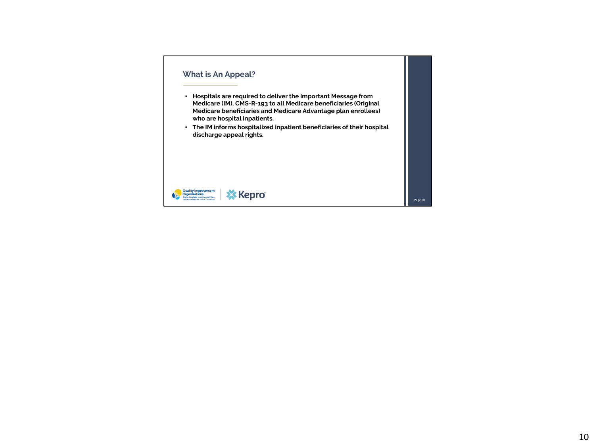# **What is An Appeal?**

- **Hospitals are required to deliver the Important Message from Medicare (IM), CMS-R-193 to all Medicare beneficiaries (Original Medicare beneficiaries and Medicare Advantage plan enrollees) who are hospital inpatients.**
- **The IM informs hospitalized inpatient beneficiaries of their hospital discharge appeal rights.**

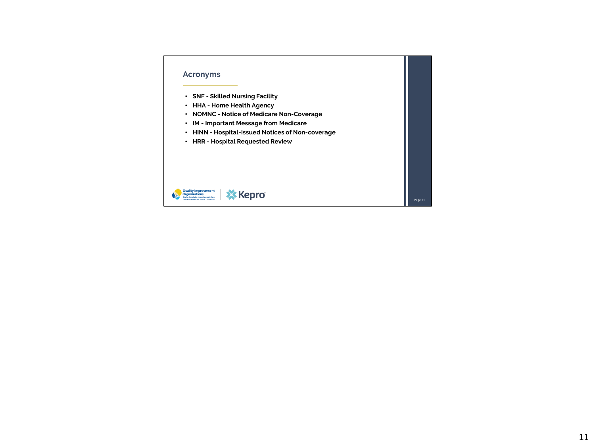### **Acronyms**

- **SNF - Skilled Nursing Facility**
- **HHA - Home Health Agency**
- **NOMNC - Notice of Medicare Non-Coverage**
- **IM - Important Message from Medicare**
- **HINN - Hospital-Issued Notices of Non-coverage**
- **HRR - Hospital Requested Review**

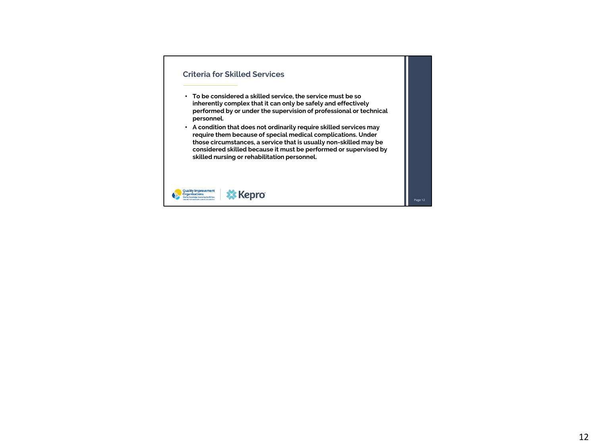## **Criteria for Skilled Services**

- **To be considered a skilled service, the service must be so inherently complex that it can only be safely and effectively performed by or under the supervision of professional or technical personnel.**
- **A condition that does not ordinarily require skilled services may require them because of special medical complications. Under those circumstances, a service that is usually non-skilled may be considered skilled because it must be performed or supervised by skilled nursing or rehabilitation personnel.**

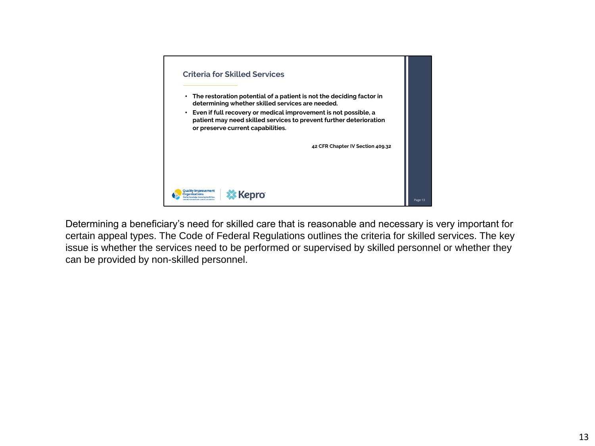

Determining a beneficiary's need for skilled care that is reasonable and necessary is very important for certain appeal types. The Code of Federal Regulations outlines the criteria for skilled services. The key issue is whether the services need to be performed or supervised by skilled personnel or whether they can be provided by non-skilled personnel.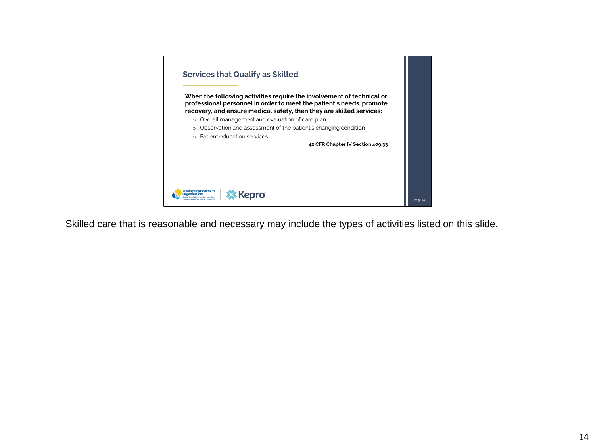

Skilled care that is reasonable and necessary may include the types of activities listed on this slide.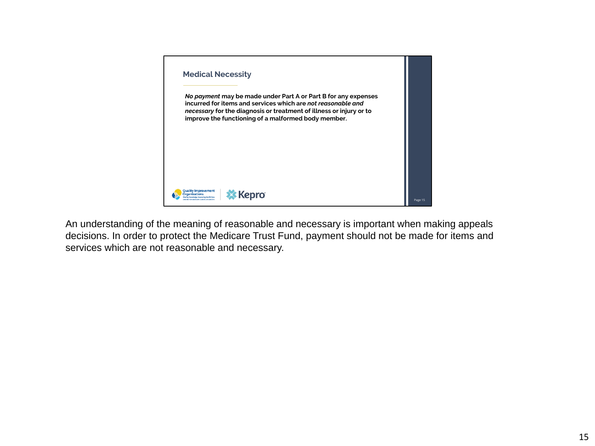

An understanding of the meaning of reasonable and necessary is important when making appeals decisions. In order to protect the Medicare Trust Fund, payment should not be made for items and services which are not reasonable and necessary.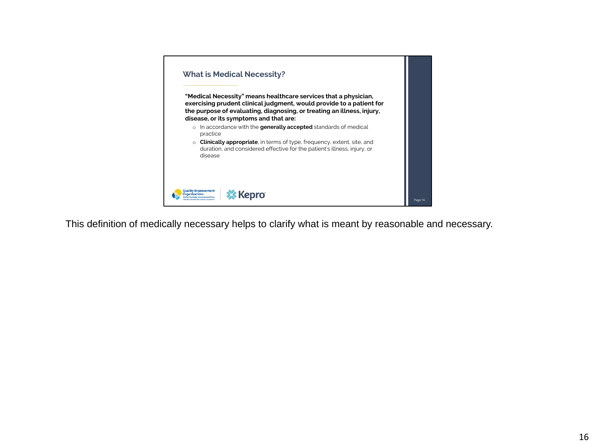

This definition of medically necessary helps to clarify what is meant by reasonable and necessary.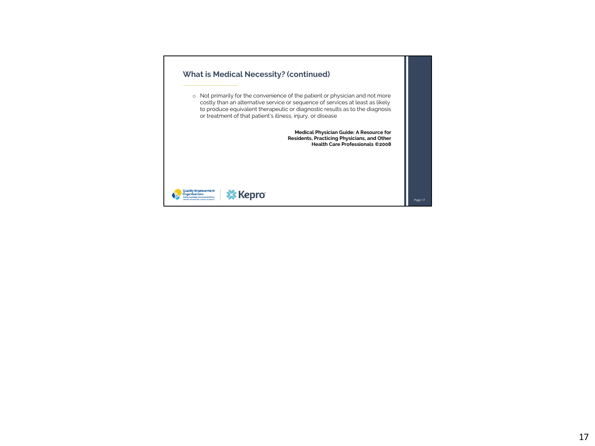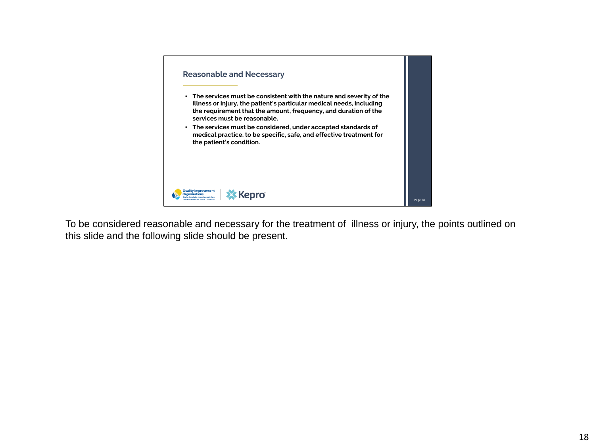

To be considered reasonable and necessary for the treatment of illness or injury, the points outlined on this slide and the following slide should be present.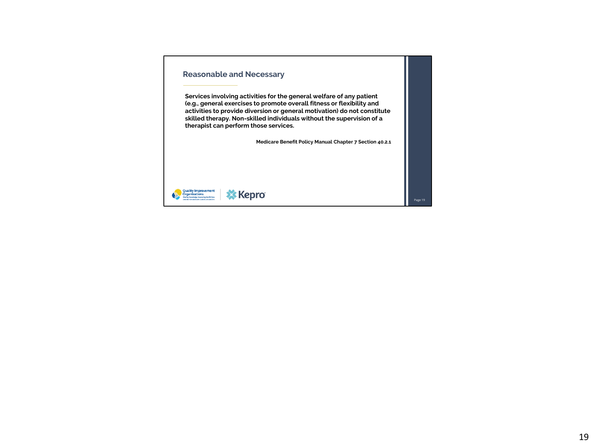# **Reasonable and Necessary**

**Services involving activities for the general welfare of any patient (e.g., general exercises to promote overall fitness or flexibility and activities to provide diversion or general motivation) do not constitute skilled therapy. Non-skilled individuals without the supervision of a therapist can perform those services.**

**Medicare Benefit Policy Manual Chapter 7 Section 40.2.1** 

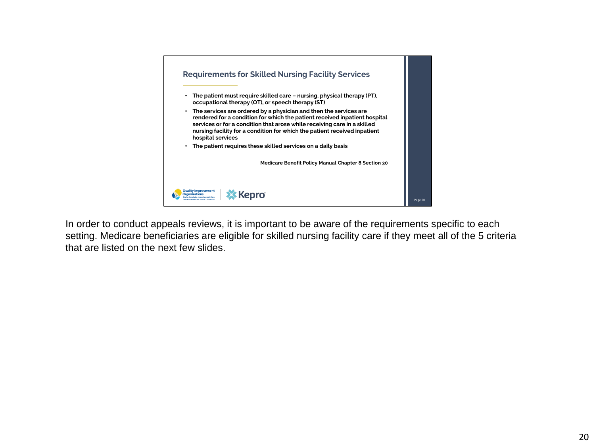

In order to conduct appeals reviews, it is important to be aware of the requirements specific to each setting. Medicare beneficiaries are eligible for skilled nursing facility care if they meet all of the 5 criteria that are listed on the next few slides.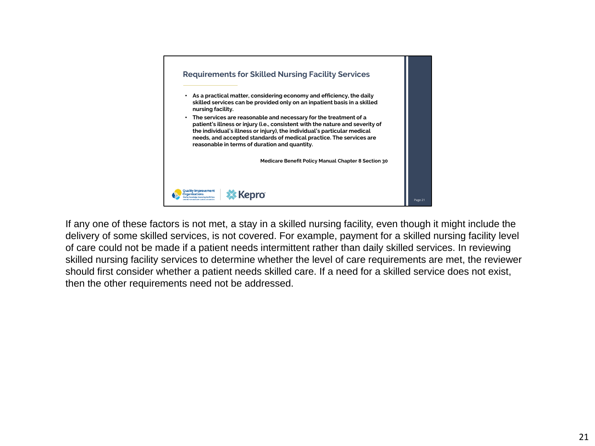

If any one of these factors is not met, a stay in a skilled nursing facility, even though it might include the delivery of some skilled services, is not covered. For example, payment for a skilled nursing facility level of care could not be made if a patient needs intermittent rather than daily skilled services. In reviewing skilled nursing facility services to determine whether the level of care requirements are met, the reviewer should first consider whether a patient needs skilled care. If a need for a skilled service does not exist, then the other requirements need not be addressed.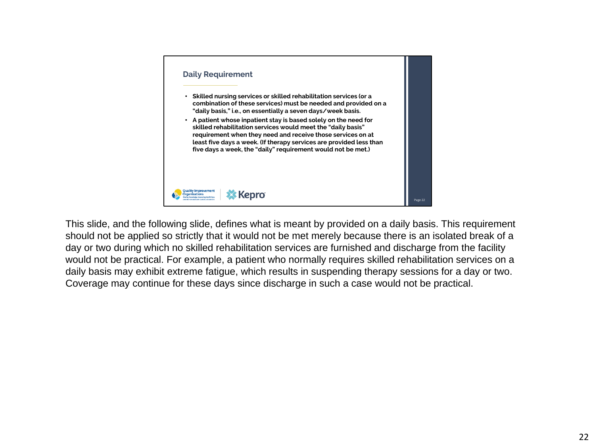

This slide, and the following slide, defines what is meant by provided on a daily basis. This requirement should not be applied so strictly that it would not be met merely because there is an isolated break of a day or two during which no skilled rehabilitation services are furnished and discharge from the facility would not be practical. For example, a patient who normally requires skilled rehabilitation services on a daily basis may exhibit extreme fatigue, which results in suspending therapy sessions for a day or two. Coverage may continue for these days since discharge in such a case would not be practical.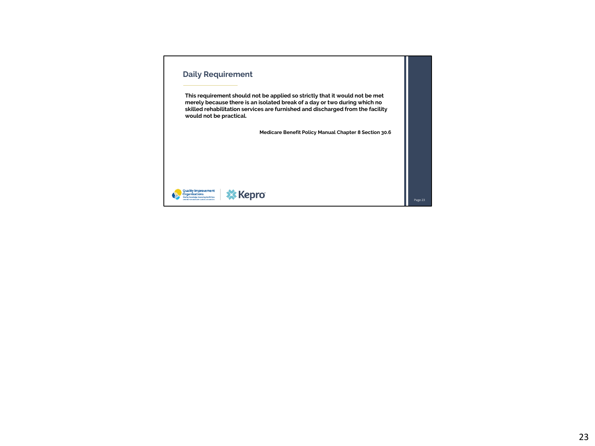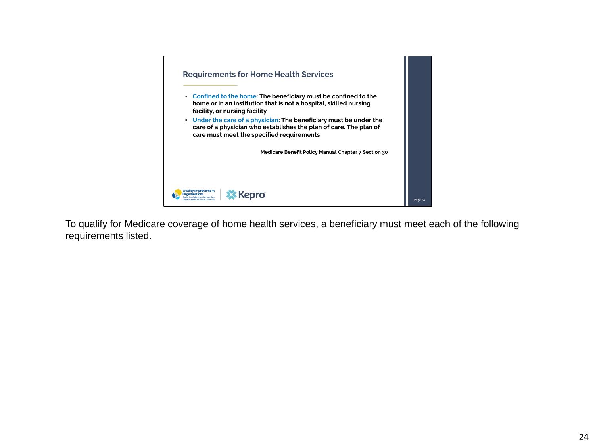

To qualify for Medicare coverage of home health services, a beneficiary must meet each of the following requirements listed.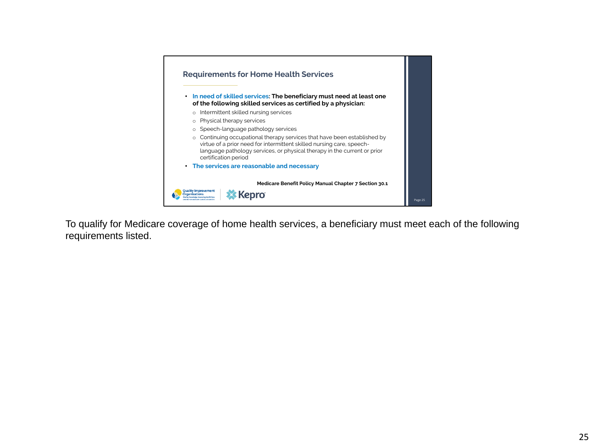

To qualify for Medicare coverage of home health services, a beneficiary must meet each of the following requirements listed.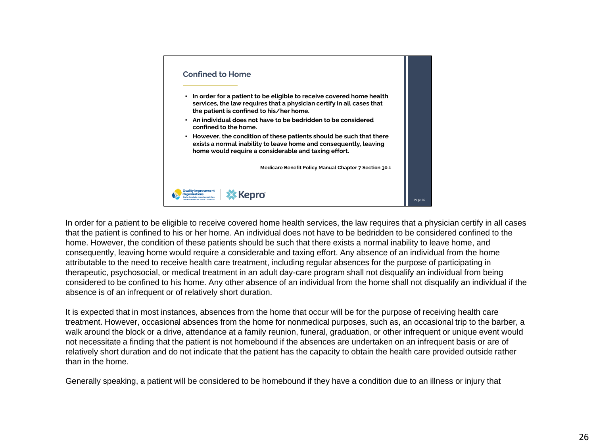

In order for a patient to be eligible to receive covered home health services, the law requires that a physician certify in all cases that the patient is confined to his or her home. An individual does not have to be bedridden to be considered confined to the home. However, the condition of these patients should be such that there exists a normal inability to leave home, and consequently, leaving home would require a considerable and taxing effort. Any absence of an individual from the home attributable to the need to receive health care treatment, including regular absences for the purpose of participating in therapeutic, psychosocial, or medical treatment in an adult day-care program shall not disqualify an individual from being considered to be confined to his home. Any other absence of an individual from the home shall not disqualify an individual if the absence is of an infrequent or of relatively short duration.

It is expected that in most instances, absences from the home that occur will be for the purpose of receiving health care treatment. However, occasional absences from the home for nonmedical purposes, such as, an occasional trip to the barber, a walk around the block or a drive, attendance at a family reunion, funeral, graduation, or other infrequent or unique event would not necessitate a finding that the patient is not homebound if the absences are undertaken on an infrequent basis or are of relatively short duration and do not indicate that the patient has the capacity to obtain the health care provided outside rather than in the home.

Generally speaking, a patient will be considered to be homebound if they have a condition due to an illness or injury that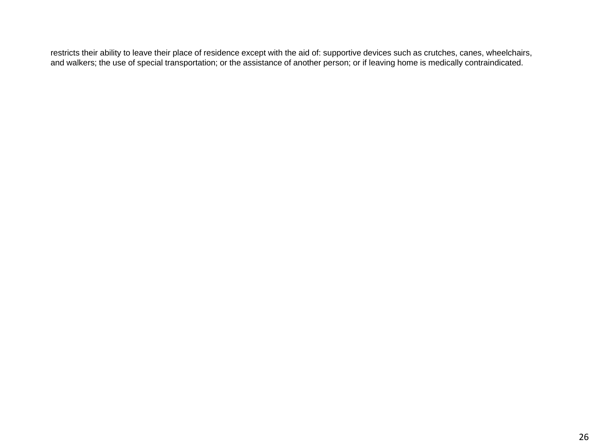restricts their ability to leave their place of residence except with the aid of: supportive devices such as crutches, canes, wheelchairs, and walkers; the use of special transportation; or the assistance of another person; or if leaving home is medically contraindicated.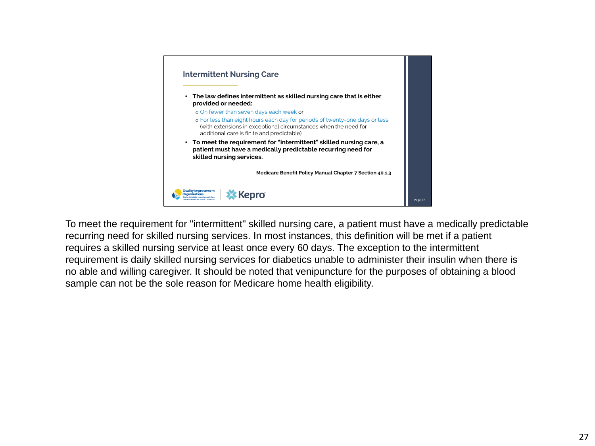

To meet the requirement for "intermittent" skilled nursing care, a patient must have a medically predictable recurring need for skilled nursing services. In most instances, this definition will be met if a patient requires a skilled nursing service at least once every 60 days. The exception to the intermittent requirement is daily skilled nursing services for diabetics unable to administer their insulin when there is no able and willing caregiver. It should be noted that venipuncture for the purposes of obtaining a blood sample can not be the sole reason for Medicare home health eligibility.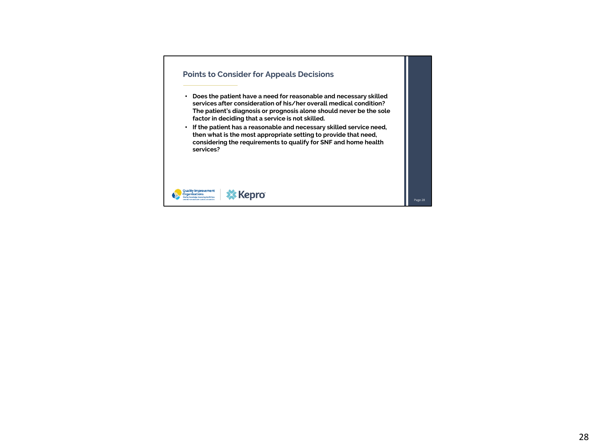## **Points to Consider for Appeals Decisions**

- **Does the patient have a need for reasonable and necessary skilled services after consideration of his/her overall medical condition? The patient's diagnosis or prognosis alone should never be the sole factor in deciding that a service is not skilled.**
- **If the patient has a reasonable and necessary skilled service need, then what is the most appropriate setting to provide that need, considering the requirements to qualify for SNF and home health services?**



Page 28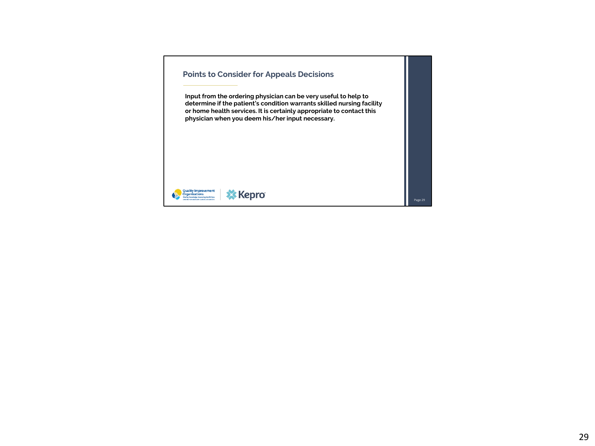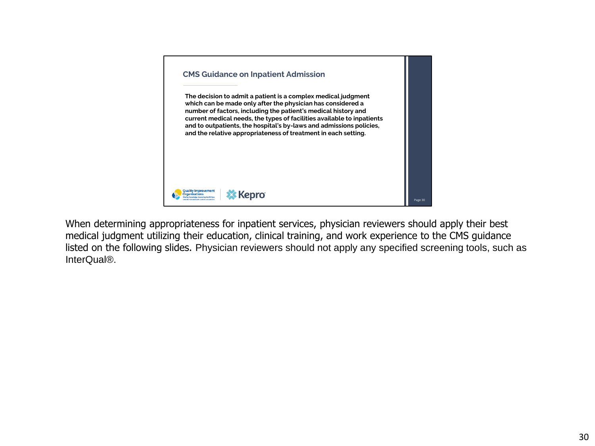

When determining appropriateness for inpatient services, physician reviewers should apply their best medical judgment utilizing their education, clinical training, and work experience to the CMS guidance listed on the following slides. Physician reviewers should not apply any specified screening tools, such as InterQual®.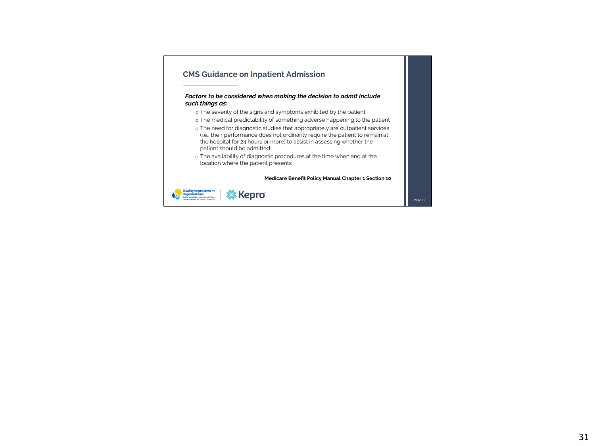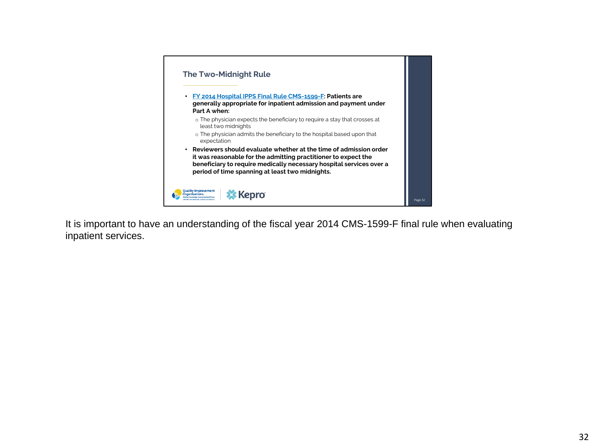

It is important to have an understanding of the fiscal year 2014 CMS-1599-F final rule when evaluating inpatient services.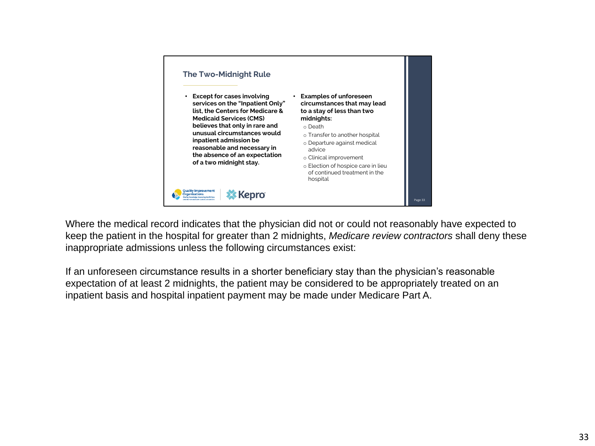

Where the medical record indicates that the physician did not or could not reasonably have expected to keep the patient in the hospital for greater than 2 midnights, *Medicare review contractors* shall deny these inappropriate admissions unless the following circumstances exist:

If an unforeseen circumstance results in a shorter beneficiary stay than the physician's reasonable expectation of at least 2 midnights, the patient may be considered to be appropriately treated on an inpatient basis and hospital inpatient payment may be made under Medicare Part A.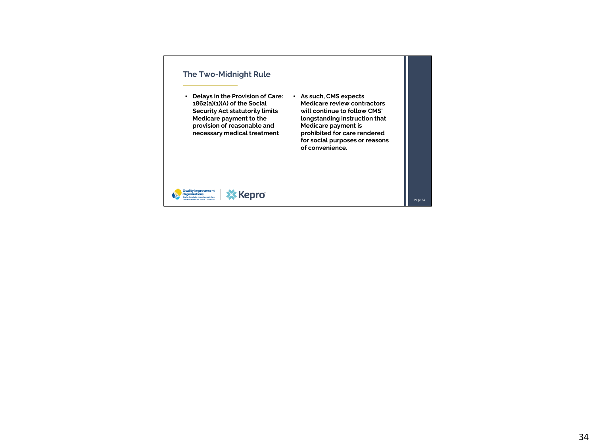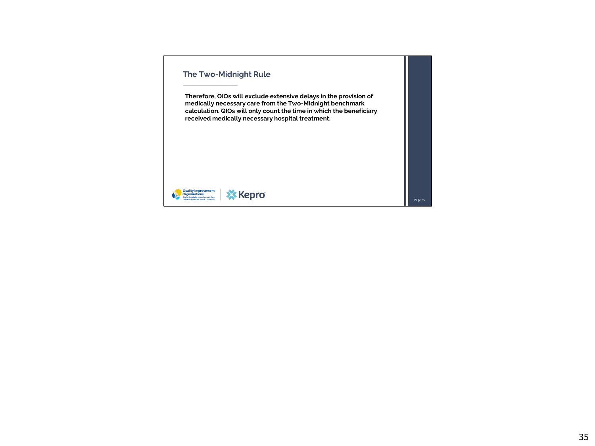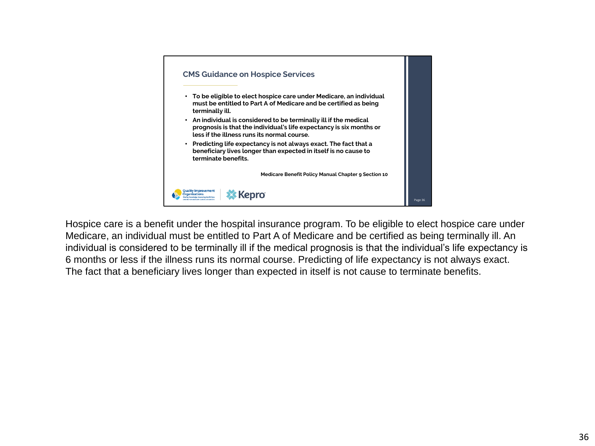

Hospice care is a benefit under the hospital insurance program. To be eligible to elect hospice care under Medicare, an individual must be entitled to Part A of Medicare and be certified as being terminally ill. An individual is considered to be terminally ill if the medical prognosis is that the individual's life expectancy is 6 months or less if the illness runs its normal course. Predicting of life expectancy is not always exact. The fact that a beneficiary lives longer than expected in itself is not cause to terminate benefits.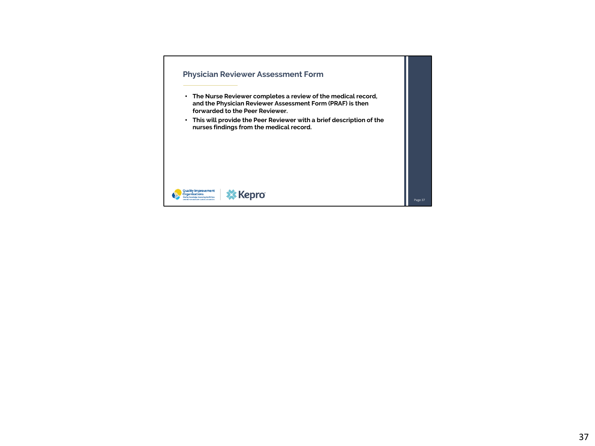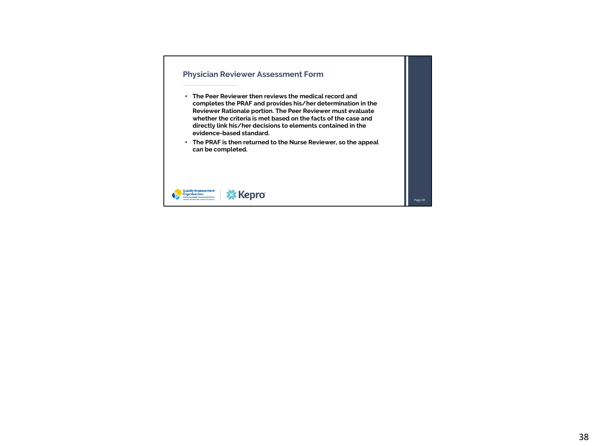### **Physician Reviewer Assessment Form**

- **The Peer Reviewer then reviews the medical record and completes the PRAF and provides his/her determination in the Reviewer Rationale portion. The Peer Reviewer must evaluate whether the criteria is met based on the facts of the case and directly link his/her decisions to elements contained in the evidence-based standard.**
- **The PRAF is then returned to the Nurse Reviewer, so the appeal can be completed.**



Page 38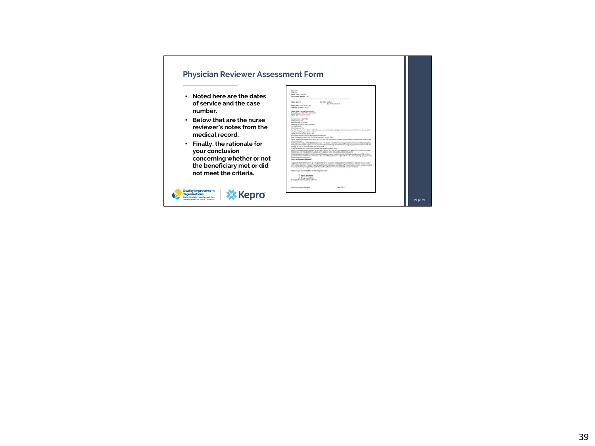# **Physician Reviewer Assessm**

- **Noted here are the dates of service and the case number.**
- **Below that are the nurse reviewer's notes from the medical record.**
- **Finally, the rationale for your conclusion concerning whether or not the beneficiary met or did not meet the criteria.**

**X** Kepro

Quality Improvement<br>Organizations

| <b>Away Area is</b><br>State(Chica)<br>Name: Amber Tankennies<br>Statut's Planet Standard, 7130                                     |  |                                                                                                                                                                                                                                                                                                                                                                                                           |                  |
|-------------------------------------------------------------------------------------------------------------------------------------|--|-----------------------------------------------------------------------------------------------------------------------------------------------------------------------------------------------------------------------------------------------------------------------------------------------------------------------------------------------------------------------------------------------------------|------------------|
|                                                                                                                                     |  |                                                                                                                                                                                                                                                                                                                                                                                                           | Assessi Tape: NE |
| Product Center: (211) 4.004 DO2 2013<br>Glain Rey: 35(85852 134.1)                                                                  |  |                                                                                                                                                                                                                                                                                                                                                                                                           |                  |
| Facility Name: General Medical Central<br>Dates of Sendor: 03/31/3516-04/06/2006<br>Appeal Type: Hospital Discharger                |  |                                                                                                                                                                                                                                                                                                                                                                                                           |                  |
| <b>State reviewer &amp; SMTH BS</b><br>2 Montght Rule 195<br>Admission data: 03/31/2018<br>Attending Physician Dr. Exeter Thankscon |  |                                                                                                                                                                                                                                                                                                                                                                                                           |                  |
| LOS ON/BAIDEGE<br>Is DENC attached? Fel                                                                                             |  |                                                                                                                                                                                                                                                                                                                                                                                                           |                  |
| hospital, also refusing augmal intervention.                                                                                        |  | Nans Emission Summary Prites multiple absorpes to her must with pain requiring reasons connection and refuses to be discharged from                                                                                                                                                                                                                                                                       |                  |
| Apr 48 y aistenaie 508 08/25/1867<br>Principle Dr. Hospital admission Multiple absonors and pain.                                   |  |                                                                                                                                                                                                                                                                                                                                                                                                           |                  |
| Hidit coracartistic, phecks (IN DAI), 47N, close agree, actions, MRSA.                                                              |  | Dans of last physicial progress ruins. DX/23/2018 Pt refuses to be shallwayed as she wants nationized for part-from absolutions; refuses to have                                                                                                                                                                                                                                                          |                  |
| shocking trained.                                                                                                                   |  |                                                                                                                                                                                                                                                                                                                                                                                                           |                  |
| dressing, an 209/032, moderns states, DAG: Harof BMAA                                                                               |  | Summary Carrent Status (NUSS/SUS) openwound from also box, wound draining percuarguinous Mesait milton and kivl gauze applied L.<br>Kank allocates CDI with directing A breast allocate with coart century drainage-felecal children and Asi gauge applied 1, breast allocates CDI with                                                                                                                   |                  |
| DC Plan. Wrighting SNF, to return harbo with hill with dealers lending to point.                                                    |  | Beneficiany/impelsenative/storeed detectivity) (vid) ting is strain this (27.09 hans and 00:00 most 10-50 finites can bushed to                                                                                                                                                                                                                                                                           |                  |
|                                                                                                                                     |  | BECAUSE SHE HAD IT ONCE AND THEY WOULD UNE TO SEND HER FORME WITH NO FAIN MEDI ROOM 4337-2                                                                                                                                                                                                                                                                                                                |                  |
| arden for dely insula injections.<br>Physician Reniewer Rationalic:                                                                 |  | Notes additional to curemany PresentationHallywith chemparis, ratial Ns, and alterations, entiretated had a book plus paid of +700 on hume<br>glucenese: Domoseol's Wheeler Ford her care. DG closurability and hispanic is negative. Of 10-60%. Larg is ney hedrogo group clear. Has                                                                                                                     |                  |
|                                                                                                                                     |  | I porea sittitle naticó for discharde. The patient does not confinante mesting attent hongital criteria. The patient was admitted<br>with multiple abscenes and pain Ongoing inpotent saciatic therapy is not indicated. The patient does not have any state medical<br>If the basic reflects me to any attent the significant attention and the publicated in the political control of control of cases. |                  |
| Physiclana please salect ONE of the following statements:                                                                           |  |                                                                                                                                                                                                                                                                                                                                                                                                           |                  |
| Agree with Notice<br>Disagner with Notice                                                                                           |  |                                                                                                                                                                                                                                                                                                                                                                                                           |                  |
| If any qualify concerts, please note have                                                                                           |  |                                                                                                                                                                                                                                                                                                                                                                                                           |                  |
|                                                                                                                                     |  |                                                                                                                                                                                                                                                                                                                                                                                                           |                  |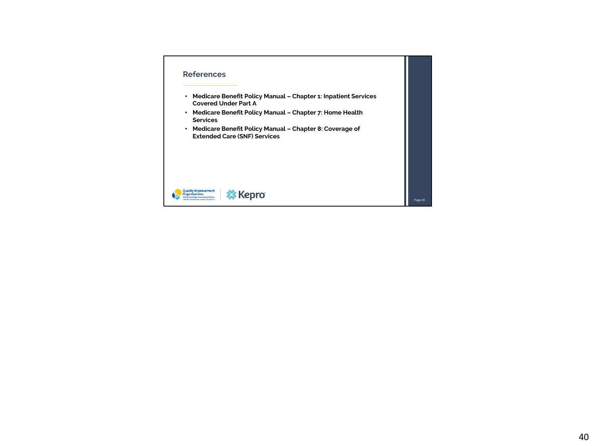#### **References**

- **Medicare Benefit Policy Manual – Chapter 1: Inpatient Services Covered Under Part A**
- **Medicare Benefit Policy Manual – Chapter 7: Home Health Services**
- **Medicare Benefit Policy Manual – Chapter 8: Coverage of Extended Care (SNF) Services**

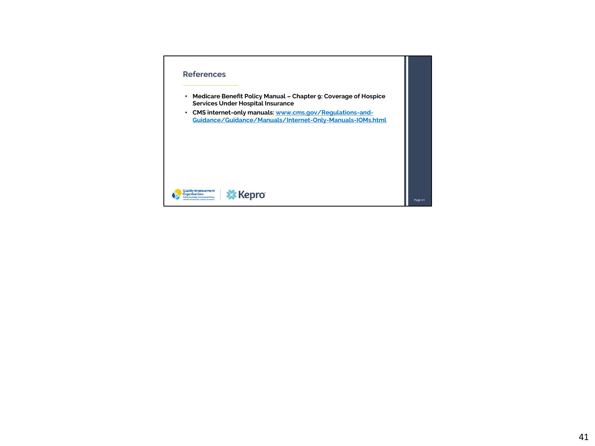